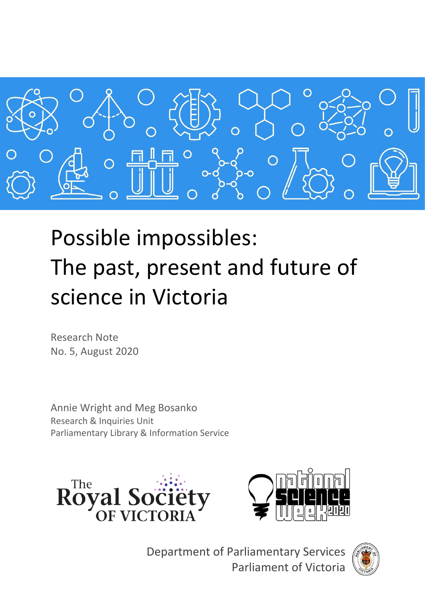

# Possible impossibles: The past, present and future of science in Victoria

Research Note No. 5, August 2020

Annie Wright and Meg Bosanko Research & Inquiries Unit Parliamentary Library & Information Service





Department of Parliamentary Services Parliament of Victoria

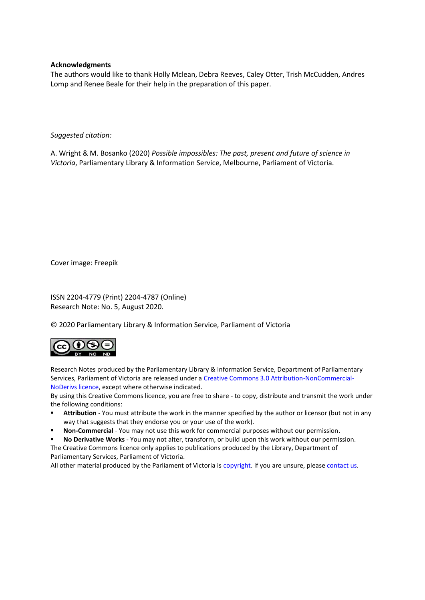### **Acknowledgments**

The authors would like to thank Holly Mclean, Debra Reeves, Caley Otter, Trish McCudden, Andres Lomp and Renee Beale for their help in the preparation of this paper.

#### *Suggested citation:*

A. Wright & M. Bosanko (2020) *Possible impossibles: The past, present and future of science in Victoria*, Parliamentary Library & Information Service, Melbourne, Parliament of Victoria.

Cover image: Freepik

ISSN 2204-4779 (Print) 2204-4787 (Online) Research Note: No. 5, August 2020.

© 2020 Parliamentary Library & Information Service, Parliament of Victoria



Research Notes produced by the Parliamentary Library & Information Service, Department of Parliamentary Services, Parliament of Victoria are released under a [Creative Commons 3.0 Attribution-NonCommercial-](http://creativecommons.org/licenses/by-nc-nd/3.0/au/)[NoDerivs licence,](http://creativecommons.org/licenses/by-nc-nd/3.0/au/) except where otherwise indicated.

By using this Creative Commons licence, you are free to share - to copy, distribute and transmit the work under the following conditions:

- **EXTED Attribution** You must attribute the work in the manner specified by the author or licensor (but not in any way that suggests that they endorse you or your use of the work).
- Non-Commercial You may not use this work for commercial purposes without our permission.
- No Derivative Works You may not alter, transform, or build upon this work without our permission. The Creative Commons licence only applies to publications produced by the Library, Department of Parliamentary Services, Parliament of Victoria.

All other material produced by the Parliament of Victoria is [copyright.](http://www.parliament.vic.gov.au/copyright) If you are unsure, please [contact us.](http://www.parliament.vic.gov.au/contacts)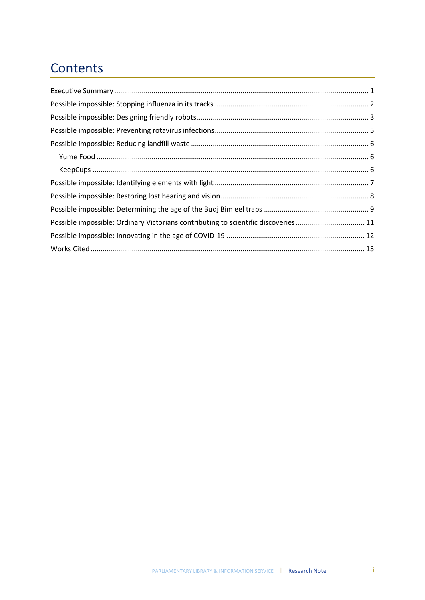# **Contents**

| Possible impossible: Ordinary Victorians contributing to scientific discoveries 11 |  |
|------------------------------------------------------------------------------------|--|
|                                                                                    |  |
|                                                                                    |  |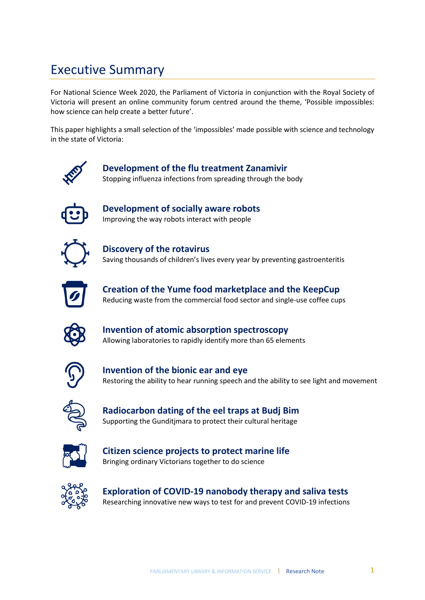# <span id="page-4-0"></span>Executive Summary

For National Science Week 2020, the Parliament of Victoria in conjunction with the Royal Society of Victoria will present an online community forum centred around the theme, 'Possible impossibles: how science can help create a better future'.

This paper highlights a small selection of the 'impossibles' made possible with science and technology in the state of Victoria:



### **Development of the flu treatment Zanamivir** Stopping influenza infections from spreading through the body

**Development of socially aware robots** Improving the way robots interact with people



**Discovery of the rotavirus** Saving thousands of children's lives every year by preventing gastroenteritis



**Creation of the Yume food marketplace and the KeepCup** Reducing waste from the commercial food sector and single-use coffee cups



**Invention of atomic absorption spectroscopy** Allowing laboratories to rapidly identify more than 65 elements



**Invention of the bionic ear and eye** Restoring the ability to hear running speech and the ability to see light and movement



**Radiocarbon dating of the eel traps at Budj Bim** Supporting the Gunditjmara to protect their cultural heritage



**Citizen science projects to protect marine life** Bringing ordinary Victorians together to do science



**Exploration of COVID-19 nanobody therapy and saliva tests** Researching innovative new ways to test for and prevent COVID-19 infections

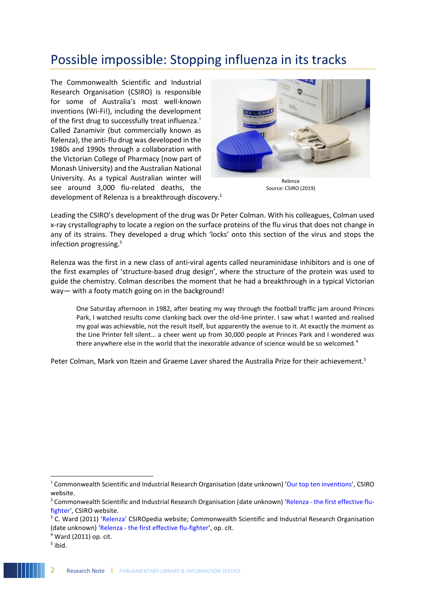# <span id="page-5-0"></span>Possible impossible: Stopping influenza in its tracks

The Commonwealth Scientific and Industrial Research Organisation (CSIRO) is responsible for some of Australia's most well-known inventions (Wi-Fi!), including the development of the first drug to successfully treat influenza.<sup>1</sup> Called Zanamivir (but commercially known as Relenza), the anti-flu drug was developed in the 1980s and 1990s through a collaboration with the Victorian College of Pharmacy (now part of Monash University) and the Australian National University. As a typical Australian winter will see around 3,000 flu-related deaths, the development of Relenza is a breakthrough discovery.<sup>2</sup>



Relenza Source: CSIRO (2019)

Leading the CSIRO's development of the drug was Dr Peter Colman. With his colleagues, Colman used x-ray crystallography to locate a region on the surface proteins of the flu virus that does not change in any of its strains. They developed a drug which 'locks' onto this section of the virus and stops the infection progressing. 3

Relenza was the first in a new class of anti-viral agents called neuraminidase inhibitors and is one of the first examples of 'structure-based drug design', where the structure of the protein was used to guide the chemistry. Colman describes the moment that he had a breakthrough in a typical Victorian way— with a footy match going on in the background!

One Saturday afternoon in 1982, after beating my way through the football traffic jam around Princes Park, I watched results come clanking back over the old-line printer. I saw what I wanted and realised my goal was achievable, not the result itself, but apparently the avenue to it. At exactly the moment as the Line Printer fell silent… a cheer went up from 30,000 people at Princes Park and I wondered was there anywhere else in the world that the inexorable advance of science would be so welcomed.<sup>4</sup>

Peter Colman, Mark von Itzein and Graeme Laver shared the Australia Prize for their achievement.<sup>5</sup>

<sup>&</sup>lt;sup>1</sup> Commonwealth Scientific and Industrial Research Organisation (date unknown) '[Our top ten inventions](https://www.csiro.au/en/About/History-achievements/Top-10-inventions)', CSIRO website.

<sup>&</sup>lt;sup>2</sup> Commonwealth Scientific and Industrial Research Organisation (date unknown) 'Relenza - [the first effective flu](https://www.csiro.au/en/Research/MF/Areas/Biomedical/Drug-discovery/relenza)[fighter](https://www.csiro.au/en/Research/MF/Areas/Biomedical/Drug-discovery/relenza)', CSIRO website.

<sup>&</sup>lt;sup>3</sup> C. Ward (2011) ['Relenza'](https://csiropedia.csiro.au/relenza/) CSIROpedia website; Commonwealth Scientific and Industrial Research Organisation (date unknown) 'Relenza - [the first effective flu-fighter](https://www.csiro.au/en/Research/MF/Areas/Biomedical/Drug-discovery/relenza)', op. cit.

<sup>4</sup> Ward (2011) op. cit.

<sup>&</sup>lt;sup>5</sup> ibid.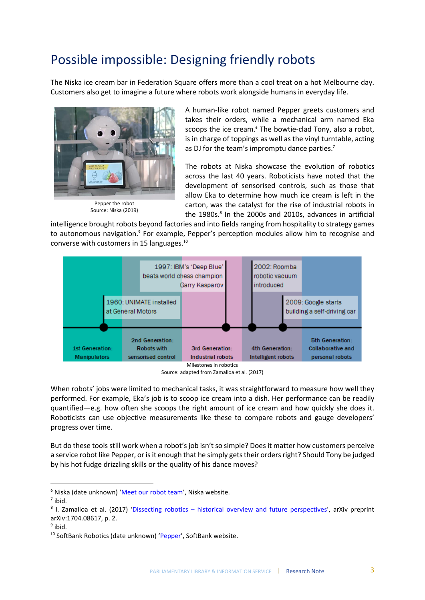# <span id="page-6-0"></span>Possible impossible: Designing friendly robots

The Niska ice cream bar in Federation Square offers more than a cool treat on a hot Melbourne day. Customers also get to imagine a future where robots work alongside humans in everyday life.



Source: Niska (2019)

A human-like robot named Pepper greets customers and takes their orders, while a mechanical arm named Eka scoops the ice cream.<sup>6</sup> The bowtie-clad Tony, also a robot, is in charge of toppings as well as the vinyl turntable, acting as DJ for the team's impromptu dance parties.<sup>7</sup>

The robots at Niska showcase the evolution of robotics across the last 40 years. Roboticists have noted that the development of sensorised controls, such as those that allow Eka to determine how much ice cream is left in the carton, was the catalyst for the rise of industrial robots in the 1980s.<sup>8</sup> In the 2000s and 2010s, advances in artificial

intelligence brought robots beyond factories and into fields ranging from hospitality to strategy games to autonomous navigation.<sup>9</sup> For example, Pepper's perception modules allow him to recognise and converse with customers in 15 languages.<sup>10</sup>



Source: adapted from Zamalloa et al. (2017)

When robots' jobs were limited to mechanical tasks, it was straightforward to measure how well they performed. For example, Eka's job is to scoop ice cream into a dish. Her performance can be readily quantified—e.g. how often she scoops the right amount of ice cream and how quickly she does it. Roboticists can use objective measurements like these to compare robots and gauge developers' progress over time.

But do these tools still work when a robot's job isn't so simple? Does it matter how customers perceive a service robot like Pepper, or is it enough that he simply gets their orders right? Should Tony be judged by his hot fudge drizzling skills or the quality of his dance moves?

l

<sup>6</sup> Niska (date unknown) '[Meet our robot team](https://niska.com.au/pages/meet-pepper)', Niska website.

 $^7$  ibid.

<sup>&</sup>lt;sup>8</sup> I. Zamalloa et al. (2017) 'Dissecting robotics – [historical overview and future perspectives](https://arxiv.org/abs/1704.08617)', arXiv preprint arXiv:1704.08617, p. 2.

<sup>&</sup>lt;sup>9</sup> ibid.

<sup>&</sup>lt;sup>10</sup> SoftBank Robotics (date unknown) '[Pepper](https://www.softbankrobotics.com/emea/en/pepper)', SoftBank website.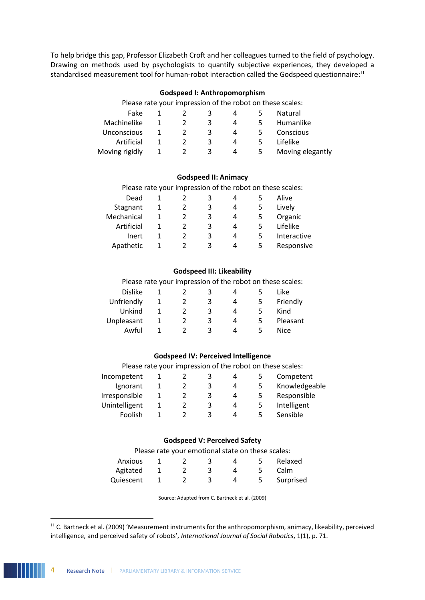To help bridge this gap, Professor Elizabeth Croft and her colleagues turned to the field of psychology. Drawing on methods used by psychologists to quantify subjective experiences, they developed a standardised measurement tool for human-robot interaction called the Godspeed questionnaire:<sup>11</sup>

### **Godspeed I: Anthropomorphism**

|                |   |   |   |   | Please rate your impression of the robot on these scales: |
|----------------|---|---|---|---|-----------------------------------------------------------|
| Fake           |   | 3 | 4 |   | Natural                                                   |
| Machinelike    |   | 3 | 4 |   | Humanlike                                                 |
| Unconscious    |   | 3 | 4 | ъ | Conscious                                                 |
| Artificial     | 2 | 3 | 4 | 5 | Lifelike                                                  |
| Moving rigidly |   | 3 | 4 | 5 | Moving elegantly                                          |

#### **Godspeed II: Animacy**

| Please rate your impression of the robot on these scales: |  |  |                           |  |
|-----------------------------------------------------------|--|--|---------------------------|--|
| 1 اممر 1                                                  |  |  | $\mathsf{A}$ $\mathsf{B}$ |  |

| Dead       |  | 3 |   | Alive       |
|------------|--|---|---|-------------|
| Stagnant   |  | 3 | 4 | Lively      |
| Mechanical |  | 3 | 4 | Organic     |
| Artificial |  | ς | Δ | Lifelike    |
| Inert      |  | 3 | 4 | Interactive |
| Apathetic  |  | 3 | 4 | Responsive  |

#### **Godspeed III: Likeability**

Please rate your impression of the robot on these scales:

|   | ર |   |   | Like     |
|---|---|---|---|----------|
|   | 3 | 4 |   | Friendly |
|   | ર | Δ | ↖ | Kind     |
| 2 |   | Δ |   | Pleasant |
|   |   | Δ |   | Nice     |
|   |   |   |   |          |

### **Godspeed IV: Perceived Intelligence**

|  | 3 | 4 | Competent     |
|--|---|---|---------------|
|  | 3 | 4 | Knowledgeable |
|  | 3 | 4 | Responsible   |
|  | 3 | 4 | Intelligent   |
|  | 3 | Д | Sensible      |
|  |   |   |               |

### **Godspeed V: Perceived Safety**

Please rate your emotional state on these scales:

| Anxious   |  |  | Relaxed   |
|-----------|--|--|-----------|
| Agitated  |  |  | Calm      |
| Quiescent |  |  | Surprised |

Source: Adapted from C. Bartneck et al. (2009)

<sup>&</sup>lt;sup>11</sup> C. Bartneck et al. (2009) 'Measurement instruments for the anthropomorphism, animacy, likeability, perceived intelligence, and perceived safety of robots', *International Journal of Social Robotics*, 1(1), p. 71.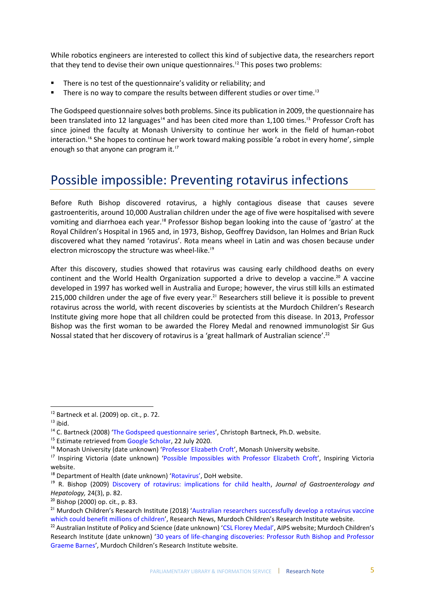While robotics engineers are interested to collect this kind of subjective data, the researchers report that they tend to devise their own unique questionnaires.<sup>12</sup> This poses two problems:

- There is no test of the questionnaire's validity or reliability; and
- There is no way to compare the results between different studies or over time.<sup>13</sup>

The Godspeed questionnaire solves both problems. Since its publication in 2009, the questionnaire has been translated into 12 languages<sup>14</sup> and has been cited more than 1,100 times.<sup>15</sup> Professor Croft has since joined the faculty at Monash University to continue her work in the field of human-robot interaction.<sup>16</sup> She hopes to continue her work toward making possible 'a robot in every home', simple enough so that anyone can program it.<sup>17</sup>

## <span id="page-8-0"></span>Possible impossible: Preventing rotavirus infections

Before Ruth Bishop discovered rotavirus, a highly contagious disease that causes severe gastroenteritis, around 10,000 Australian children under the age of five were hospitalised with severe vomiting and diarrhoea each year.<sup>18</sup> Professor Bishop began looking into the cause of 'gastro' at the Royal Children's Hospital in 1965 and, in 1973, Bishop, Geoffrey Davidson, Ian Holmes and Brian Ruck discovered what they named 'rotavirus'. Rota means wheel in Latin and was chosen because under electron microscopy the structure was wheel-like.<sup>19</sup>

After this discovery, studies showed that rotavirus was causing early childhood deaths on every continent and the World Health Organization supported a drive to develop a vaccine.<sup>20</sup> A vaccine developed in 1997 has worked well in Australia and Europe; however, the virus still kills an estimated 215,000 children under the age of five every year.<sup>21</sup> Researchers still believe it is possible to prevent rotavirus across the world, with recent discoveries by scientists at the Murdoch Children's Research Institute giving more hope that all children could be protected from this disease. In 2013, Professor Bishop was the first woman to be awarded the Florey Medal and renowned immunologist Sir Gus Nossal stated that her discovery of rotavirus is a 'great hallmark of Australian science'.<sup>22</sup>

l

 $12$  Bartneck et al. (2009) op. cit., p. 72.

<sup>13</sup> ibid.

<sup>&</sup>lt;sup>14</sup> C. Bartneck (2008) '[The Godspeed questionnaire series](http://www.bartneck.de/2008/03/11/the-godspeed-questionnaire-series/)', Christoph Bartneck, Ph.D. website.

<sup>&</sup>lt;sup>15</sup> Estimate retrieved fro[m Google Scholar,](https://scholar.google.com/scholar?hl=en&as_sdt=0%2C5&q=Measurement+Instruments+for+the+Anthropomorphism%2C+Animacy%2C+Likeability%2C+Perceived+Intelligence%2C+and+Perceived+Safety+of+Robots&btnG=) 22 July 2020.

<sup>&</sup>lt;sup>16</sup> Monash University (date unknown) '[Professor Elizabeth Croft](https://www.monash.edu/engineering/elizabethcroft#about)', Monash University website.

<sup>&</sup>lt;sup>17</sup> Inspiring Victoria (date unknown) '[Possible Impossibles with Professor Elizabeth Croft](https://inspiringvictoria.org.au/possible-impossibles-experts/elizabeth-croft/)', Inspiring Victoria website.

<sup>&</sup>lt;sup>18</sup> Department of Health (date unknown) ['Rotavirus'](https://www.health.gov.au/health-topics/rotavirus), DoH website.

<sup>19</sup> R. Bishop (2009) [Discovery of rotavirus: implications for child health,](https://onlinelibrary.wiley.com/doi/epdf/10.1111/j.1440-1746.2009.06076.x) *Journal of Gastroenterology and Hepatology,* 24(3), p. 82.

<sup>20</sup> Bishop (2000) op. cit., p. 83.

<sup>&</sup>lt;sup>21</sup> Murdoch Children's Research Institute (2018) 'Australian researchers successfully develop a rotavirus vaccine [which could benefit millions of children](https://www.mcri.edu.au/news/australian-researchers-successfully-develop-rotavirus-vaccine-which-could-benefit-millions#:~:text=Australian%20researchers%20successfully%20develop%20a%20rotavirus%20vaccine%20which%20could%20benefit%20millions%20of%20children,-Research%20News&text=Researchers%20from%20the%20Murdoch%20Children)', Research News, Murdoch Children's Research Institute website.

<sup>&</sup>lt;sup>22</sup> Australian Institute of Policy and Science (date unknown) ['CSL Florey Medal'](https://aips.net.au/florey-award/the-florey-medal/), AIPS website; Murdoch Children's Research Institute (date unknown) '[30 years of life-changing discoveries: Professor Ruth Bishop and Professor](https://www.mcri.edu.au/about/anniversary/story/professor-ruth-bishop-and-professor-graeme-barnes)  [Graeme Barnes](https://www.mcri.edu.au/about/anniversary/story/professor-ruth-bishop-and-professor-graeme-barnes)', Murdoch Children's Research Institute website.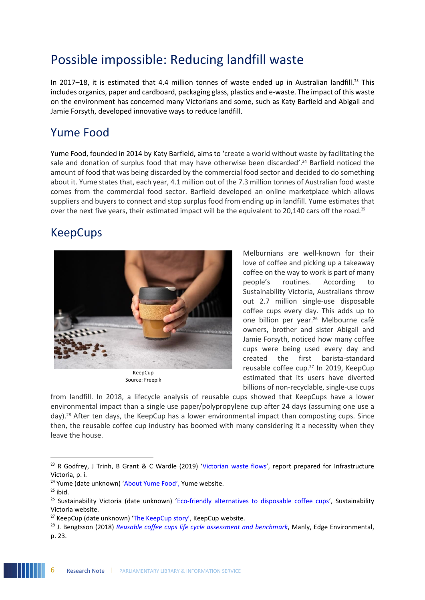# <span id="page-9-0"></span>Possible impossible: Reducing landfill waste

In 2017–18, it is estimated that 4.4 million tonnes of waste ended up in Australian landfill.<sup>23</sup> This includes organics, paper and cardboard, packaging glass, plastics and e-waste. The impact of this waste on the environment has concerned many Victorians and some, such as Katy Barfield and Abigail and Jamie Forsyth, developed innovative ways to reduce landfill.

### <span id="page-9-1"></span>Yume Food

Yume Food, founded in 2014 by Katy Barfield, aims to 'create a world without waste by facilitating the sale and donation of surplus food that may have otherwise been discarded'. <sup>24</sup> Barfield noticed the amount of food that was being discarded by the commercial food sector and decided to do something about it. Yume states that, each year, 4.1 million out of the 7.3 million tonnes of Australian food waste comes from the commercial food sector. Barfield developed an online marketplace which allows suppliers and buyers to connect and stop surplus food from ending up in landfill. Yume estimates that over the next five years, their estimated impact will be the equivalent to 20,140 cars off the road.<sup>25</sup>

### <span id="page-9-2"></span>KeepCups



Source: Freepik

Melburnians are well-known for their love of coffee and picking up a takeaway coffee on the way to work is part of many people's routines. According Sustainability Victoria, Australians throw out 2.7 million single-use disposable coffee cups every day. This adds up to one billion per year.<sup>26</sup> Melbourne café owners, brother and sister Abigail and Jamie Forsyth, noticed how many coffee cups were being used every day and created the first barista-standard reusable coffee cup.<sup>27</sup> In 2019, KeepCup estimated that its users have diverted billions of non-recyclable, single-use cups

from landfill. In 2018, a lifecycle analysis of reusable cups showed that KeepCups have a lower environmental impact than a single use paper/polypropylene cup after 24 days (assuming one use a day).<sup>28</sup> After ten days, the KeepCup has a lower environmental impact than composting cups. Since then, the reusable coffee cup industry has boomed with many considering it a necessity when they leave the house.

 $^{23}$  R Godfrey, J Trinh, B Grant & C Wardle (2019) '[Victorian waste flows](https://www.infrastructurevictoria.com.au/wp-content/uploads/2019/10/Victorian-Waste-Flows-Blue-Environment-October-2019-FINAL-REPORT.pdf)', report prepared for Infrastructure Victoria, p. i.

<sup>&</sup>lt;sup>24</sup> Yume (date unknown) '[About Yume Food](https://yumefood.com.au/about)', Yume website.

 $25$  ibid.

<sup>&</sup>lt;sup>26</sup> Sustainability Victoria (date unknown) '[Eco-friendly alternatives to disposable coffee cups](https://www.sustainability.vic.gov.au/You-and-your-home/Live-sustainably/Single-use-items/Coffee-cups)', Sustainability Victoria website.

<sup>&</sup>lt;sup>27</sup> KeepCup (date unknown) ['The KeepCup story'](https://au.keepcup.com/the-keepcup-story), KeepCup website.

<sup>28</sup> J. Bengtsson (2018) *[Reusable coffee cups life cycle assessment and benchmark](https://au.keepcup.com/media/KeepCup%20LCA%20Report.pdf)*, Manly, Edge Environmental, p. 23.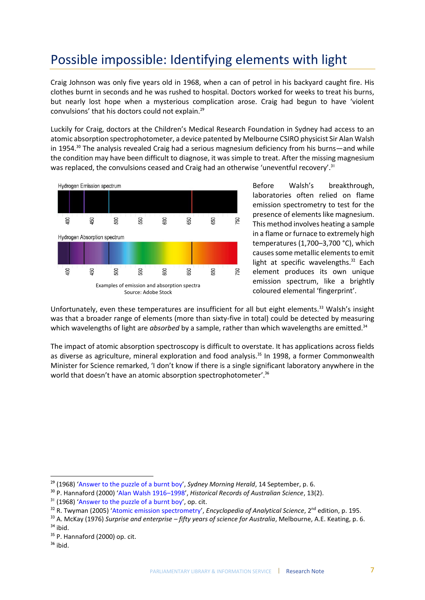# <span id="page-10-0"></span>Possible impossible: Identifying elements with light

Craig Johnson was only five years old in 1968, when a can of petrol in his backyard caught fire. His clothes burnt in seconds and he was rushed to hospital. Doctors worked for weeks to treat his burns, but nearly lost hope when a mysterious complication arose. Craig had begun to have 'violent convulsions' that his doctors could not explain.<sup>29</sup>

Luckily for Craig, doctors at the Children's Medical Research Foundation in Sydney had access to an atomic absorption spectrophotometer, a device patented by Melbourne CSIRO physicist Sir Alan Walsh in 1954.<sup>30</sup> The analysis revealed Craig had a serious magnesium deficiency from his burns—and while the condition may have been difficult to diagnose, it was simple to treat. After the missing magnesium was replaced, the convulsions ceased and Craig had an otherwise 'uneventful recovery'.<sup>31</sup>



Before Walsh's breakthrough, laboratories often relied on flame emission spectrometry to test for the presence of elements like magnesium. This method involves heating a sample in a flame or furnace to extremely high temperatures (1,700–3,700 °C), which causes some metallic elements to emit light at specific wavelengths. $32$  Each element produces its own unique emission spectrum, like a brightly coloured elemental 'fingerprint'.

Unfortunately, even these temperatures are insufficient for all but eight elements.<sup>33</sup> Walsh's insight was that a broader range of elements (more than sixty-five in total) could be detected by measuring which wavelengths of light are *absorbed* by a sample, rather than which wavelengths are emitted.<sup>34</sup>

The impact of atomic absorption spectroscopy is difficult to overstate. It has applications across fields as diverse as agriculture, mineral exploration and food analysis.<sup>35</sup> In 1998, a former Commonwealth Minister for Science remarked, 'I don't know if there is a single significant laboratory anywhere in the world that doesn't have an atomic absorption spectrophotometer'.<sup>36</sup>

<sup>&</sup>lt;sup>29</sup> (1968) '[Answer to the puzzle of a burnt boy](https://smharchives.smedia.com.au/Olive/APA/smharchive/SharedView.Article.aspx?href=SMH%2F1968%2F09%2F14&id=Ar00602&sk=9F6D26DB)', *Sydney Morning Herald*, 14 September, p. 6.

<sup>30</sup> P. Hannaford (2000) '[Alan Walsh 1916](https://www.science.org.au/fellowship/fellows/biographical-memoirs/alan-walsh-1916-1998)–1998', *Historical Records of Australian Science*, 13(2).

<sup>&</sup>lt;sup>31</sup> (1968) '[Answer to the puzzle of a burnt boy](https://smharchives.smedia.com.au/Olive/APA/smharchive/SharedView.Article.aspx?href=SMH%2F1968%2F09%2F14&id=Ar00602&sk=9F6D26DB)', op. cit.

<sup>&</sup>lt;sup>32</sup> R. Twyman (2005) '[Atomic emission spectrometry](https://www.sciencedirect.com/topics/medicine-and-dentistry/flame-photometry)', *Encyclopedia of Analytical Science*, 2<sup>nd</sup> edition, p. 195.

<sup>33</sup> A. McKay (1976) *Surprise and enterprise – fifty years of science for Australia*, Melbourne, A.E. Keating, p. 6.

 $34$  ibid.

<sup>35</sup> P. Hannaford (2000) op. cit.

<sup>36</sup> ibid.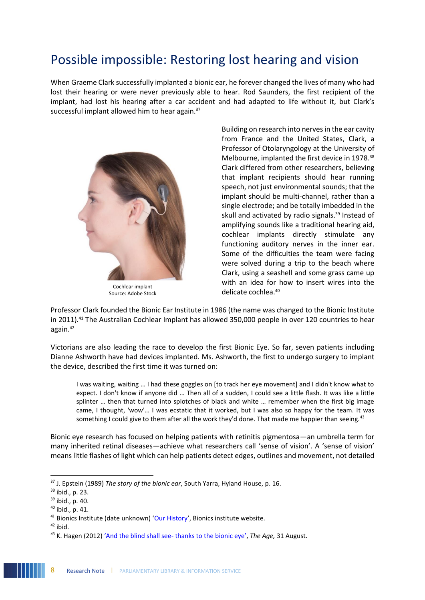# <span id="page-11-0"></span>Possible impossible: Restoring lost hearing and vision

When Graeme Clark successfully implanted a bionic ear, he forever changed the lives of many who had lost their hearing or were never previously able to hear. Rod Saunders, the first recipient of the implant, had lost his hearing after a car accident and had adapted to life without it, but Clark's successful implant allowed him to hear again.<sup>37</sup>



Cochlear implant Source: Adobe Stock

Building on research into nerves in the ear cavity from France and the United States, Clark, a Professor of Otolaryngology at the University of Melbourne, implanted the first device in 1978.<sup>38</sup> Clark differed from other researchers, believing that implant recipients should hear running speech, not just environmental sounds; that the implant should be multi-channel, rather than a single electrode; and be totally imbedded in the skull and activated by radio signals.<sup>39</sup> Instead of amplifying sounds like a traditional hearing aid, cochlear implants directly stimulate any functioning auditory nerves in the inner ear. Some of the difficulties the team were facing were solved during a trip to the beach where Clark, using a seashell and some grass came up with an idea for how to insert wires into the delicate cochlea.<sup>40</sup>

Professor Clark founded the Bionic Ear Institute in 1986 (the name was changed to the Bionic Institute in 2011).<sup>41</sup> The Australian Cochlear Implant has allowed 350,000 people in over 120 countries to hear again.<sup>42</sup>

Victorians are also leading the race to develop the first Bionic Eye. So far, seven patients including Dianne Ashworth have had devices implanted. Ms. Ashworth, the first to undergo surgery to implant the device, described the first time it was turned on:

I was waiting, waiting … I had these goggles on [to track her eye movement] and I didn't know what to expect. I don't know if anyone did … Then all of a sudden, I could see a little flash. It was like a little splinter … then that turned into splotches of black and white … remember when the first big image came, I thought, 'wow'… I was ecstatic that it worked, but I was also so happy for the team. It was something I could give to them after all the work they'd done. That made me happier than seeing.<sup>43</sup>

Bionic eye research has focused on helping patients with retinitis pigmentosa—an umbrella term for many inherited retinal diseases—achieve what researchers call 'sense of vision'. A 'sense of vision' means little flashes of light which can help patients detect edges, outlines and movement, not detailed

<sup>37</sup> J. Epstein (1989) *The story of the bionic ear*, South Yarra, Hyland House, p. 16.

<sup>38</sup> ibid., p. 23.

 $39$  ibid., p. 40.

 $40$  ibid., p. 41.

<sup>41</sup> Bionics Institute (date unknown) '[Our History](https://www.bionicsinstitute.org/our-history/)', Bionics institute website.

 $42$  ibid.

<sup>43</sup> K. Hagen (2012) 'And the blind shall see- [thanks to the bionic eye'](https://www.theage.com.au/national/victoria/and-the-blind-shall-see-thanks-to-the-bionic-eye-20120830-253fz.html), *The Age,* 31 August.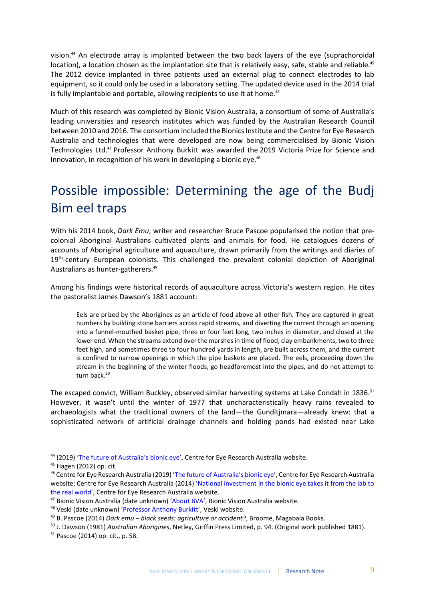vision. <sup>44</sup> An electrode array is implanted between the two back layers of the eye (suprachoroidal location), a location chosen as the implantation site that is relatively easy, safe, stable and reliable.<sup>45</sup> The 2012 device implanted in three patients used an external plug to connect electrodes to lab equipment, so it could only be used in a laboratory setting. The updated device used in the 2014 trial is fully implantable and portable, allowing recipients to use it at home.<sup>46</sup>

Much of this research was completed by Bionic Vision Australia, a consortium of some of Australia's leading universities and research institutes which was funded by the Australian Research Council between 2010 and 2016. The consortium included the Bionics Institute and the Centre for Eye Research Australia and technologies that were developed are now being commercialised by Bionic Vision Technologies Ltd.<sup>47</sup> Professor Anthony Burkitt was awarded the 2019 Victoria Prize for Science and Innovation, in recognition of his work in developing a bionic eye. 48

# <span id="page-12-0"></span>Possible impossible: Determining the age of the Budj Bim eel traps

With his 2014 book, *Dark Emu*, writer and researcher Bruce Pascoe popularised the notion that precolonial Aboriginal Australians cultivated plants and animals for food. He catalogues dozens of accounts of Aboriginal agriculture and aquaculture, drawn primarily from the writings and diaries of 19<sup>th</sup>-century European colonists. This challenged the prevalent colonial depiction of Aboriginal Australians as hunter-gatherers.<sup>49</sup>

Among his findings were historical records of aquaculture across Victoria's western region. He cites the pastoralist James Dawson's 1881 account:

Eels are prized by the Aborigines as an article of food above all other fish. They are captured in great numbers by building stone barriers across rapid streams, and diverting the current through an opening into a funnel-mouthed basket pipe, three or four feet long, two inches in diameter, and closed at the lower end. When the streams extend over the marshes in time of flood, clay embankments, two to three feet high, and sometimes three to four hundred yards in length, are built across them, and the current is confined to narrow openings in which the pipe baskets are placed. The eels, proceeding down the stream in the beginning of the winter floods, go headforemost into the pipes, and do not attempt to turn back.<sup>50</sup>

The escaped convict, William Buckley, observed similar harvesting systems at Lake Condah in 1836.<sup>51</sup> However, it wasn't until the winter of 1977 that uncharacteristically heavy rains revealed to archaeologists what the traditional owners of the land—the Gunditjmara—already knew: that a sophisticated network of artificial drainage channels and holding ponds had existed near Lake

 $\overline{a}$ 

<sup>44</sup> (2019) ['The future of Australia's bionic eye'](https://www.cera.org.au/2019/10/the-future-of-australias-bionic-eye/), Centre for Eye Research Australia website.

<sup>45</sup> Hagen (2012) op. cit.

<sup>46</sup> Centre for Eye Research Australia (2019) ['The future of Australia's bionic eye'](https://www.cera.org.au/2019/10/the-future-of-australias-bionic-eye/), Centre for Eye Research Australia website; Centre for Eye Research Australia (2014) '[National investment in the bionic eye takes it from the lab to](https://www.cera.org.au/2014/10/national-investment-in-the-bionic-eye-takes-it-from-the-lab-to-the-real-world/)  [the real world'](https://www.cera.org.au/2014/10/national-investment-in-the-bionic-eye-takes-it-from-the-lab-to-the-real-world/), Centre for Eye Research Australia website.

<sup>&</sup>lt;sup>47</sup> Bionic Vision Australia (date unknown) ['About BVA'](https://bionicvision.org.au/), Bionic Vision Australia website.

<sup>48</sup> Veski (date unknown) '[Professor Anthony Burki](https://www.veski.org.au/2019_Victoria_Prize/Professor_Anthony_Burkitt)tt', Veski website.

<sup>49</sup> B. Pascoe (2014) *Dark emu – black seeds: agriculture or accident?*, Broome, Magabala Books.

<sup>50</sup> J. Dawson (1981) *Australian Aborigines*, Netley, Griffin Press Limited, p. 94. (Original work published 1881).

<sup>51</sup> Pascoe (2014) op. cit., p. 58.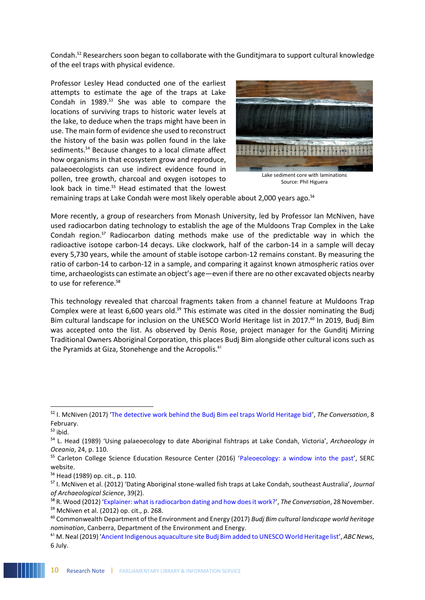Condah.<sup>52</sup> Researchers soon began to collaborate with the Gunditjmara to support cultural knowledge of the eel traps with physical evidence.

Professor Lesley Head conducted one of the earliest attempts to estimate the age of the traps at Lake Condah in 1989.<sup>53</sup> She was able to compare the locations of surviving traps to historic water levels at the lake, to deduce when the traps might have been in use. The main form of evidence she used to reconstruct the history of the basin was pollen found in the lake sediments.<sup>54</sup> Because changes to a local climate affect how organisms in that ecosystem grow and reproduce, palaeoecologists can use indirect evidence found in pollen, tree growth, charcoal and oxygen isotopes to look back in time.<sup>55</sup> Head estimated that the lowest



Source: Phil Higuera

remaining traps at Lake Condah were most likely operable about 2,000 years ago.<sup>56</sup>

More recently, a group of researchers from Monash University, led by Professor Ian McNiven, have used radiocarbon dating technology to establish the age of the Muldoons Trap Complex in the Lake Condah region.<sup>57</sup> Radiocarbon dating methods make use of the predictable way in which the radioactive isotope carbon-14 decays. Like clockwork, half of the carbon-14 in a sample will decay every 5,730 years, while the amount of stable isotope carbon-12 remains constant. By measuring the ratio of carbon-14 to carbon-12 in a sample, and comparing it against known atmospheric ratios over time, archaeologists can estimate an object's age—even if there are no other excavated objects nearby to use for reference.<sup>58</sup>

This technology revealed that charcoal fragments taken from a channel feature at Muldoons Trap Complex were at least 6,600 years old.<sup>59</sup> This estimate was cited in the dossier nominating the Budj Bim cultural landscape for inclusion on the UNESCO World Heritage list in 2017.<sup>60</sup> In 2019, Budj Bim was accepted onto the list. As observed by Denis Rose, project manager for the Gunditj Mirring Traditional Owners Aboriginal Corporation, this places Budj Bim alongside other cultural icons such as the Pyramids at Giza, Stonehenge and the Acropolis.<sup>61</sup>

l

<sup>52</sup> I. McNiven (2017) '[The detective work behind the Budj Bim eel traps World Heritage bid](https://theconversation.com/the-detective-work-behind-the-budj-bim-eel-traps-world-heritage-bid-71800)', *The Conversation*, 8 February.

 $53$  ibid.

<sup>54</sup> L. Head (1989) 'Using palaeoecology to date Aboriginal fishtraps at Lake Condah, Victoria', *Archaeology in Oceania*, 24, p. 110.

<sup>&</sup>lt;sup>55</sup> Carleton College Science Education Resource Center (2016) '[Paleoecology: a window into the past](https://serc.carleton.edu/NZFires/predict_future.html)', SERC website.

<sup>56</sup> Head (1989) op. cit., p. 110.

<sup>57</sup> I. McNiven et al. (2012) 'Dating Aboriginal stone-walled fish traps at Lake Condah, southeast Australia', *Journal of Archaeological Science*, 39(2).

<sup>58</sup> R. Wood (2012) '[Explainer: what is radiocarbon dating and how does it work?](https://theconversation.com/explainer-what-is-radiocarbon-dating-and-how-does-it-work-9690)', *The Conversation*, 28 November.

<sup>59</sup> McNiven et al. (2012) op. cit., p. 268.

<sup>60</sup> Commonwealth Department of the Environment and Energy (2017) *Budj Bim cultural landscape world heritage nomination*, Canberra, Department of the Environment and Energy.

<sup>61</sup> M. Neal (2019) '[Ancient Indigenous aquaculture site Budj Bim added to UNESCO World Heritage list](https://www.abc.net.au/news/2019-07-06/indigenous-site-joins-pyramids-stonehenge-world-heritage-list/11271804)', *ABC News*, 6 July.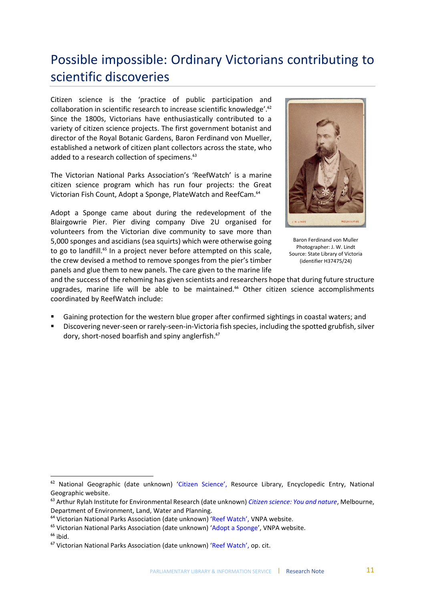# <span id="page-14-0"></span>Possible impossible: Ordinary Victorians contributing to scientific discoveries

Citizen science is the 'practice of public participation and collaboration in scientific research to increase scientific knowledge'.<sup>62</sup> Since the 1800s, Victorians have enthusiastically contributed to a variety of citizen science projects. The first government botanist and director of the Royal Botanic Gardens, Baron Ferdinand von Mueller, established a network of citizen plant collectors across the state, who added to a research collection of specimens.<sup>63</sup>

The Victorian National Parks Association's 'ReefWatch' is a marine citizen science program which has run four projects: the Great Victorian Fish Count, Adopt a Sponge, PlateWatch and ReefCam.<sup>64</sup>

Adopt a Sponge came about during the redevelopment of the Blairgowrie Pier. Pier diving company Dive 2U organised for volunteers from the Victorian dive community to save more than 5,000 sponges and ascidians (sea squirts) which were otherwise going to go to landfill.<sup>65</sup> In a project never before attempted on this scale, the crew devised a method to remove sponges from the pier's timber panels and glue them to new panels. The care given to the marine life



Baron Ferdinand von Muller Photographer: J. W. Lindt Source: State Library of Victoria (identifier H37475/24)

and the success of the rehoming has given scientists and researchers hope that during future structure upgrades, marine life will be able to be maintained.<sup>66</sup> Other citizen science accomplishments coordinated by ReefWatch include:

- Gaining protection for the western blue groper after confirmed sightings in coastal waters; and
- Discovering never-seen or rarely-seen-in-Victoria fish species, including the spotted grubfish, silver dory, short-nosed boarfish and spiny anglerfish.<sup>67</sup>

<sup>&</sup>lt;sup>62</sup> National Geographic (date unknown) ['Citizen Science'](https://www.nationalgeographic.org/encyclopedia/citizen-science/), Resource Library, Encyclopedic Entry, National Geographic website.

<sup>63</sup> Arthur Rylah Institute for Environmental Research (date unknown) *[Citizen science: You and nature](https://www.ari.vic.gov.au/__data/assets/pdf_file/0024/90807/ARI-brochure-Citizen-science.pdf)*, Melbourne, Department of Environment, Land, Water and Planning.

<sup>64</sup> Victorian National Parks Association (date unknown) ['Reef Watch'](https://vnpa.org.au/programs/reefwatch/), VNPA website.

<sup>&</sup>lt;sup>65</sup> Victorian National Parks Association (date unknown) '[Adopt a Sponge](http://vnpa.org.au/programs/adopt-a-sponge/)', VNPA website.

 $66$  ibid.

<sup>&</sup>lt;sup>67</sup> Victorian National Parks Association (date unknown) ['Reef Watch'](https://vnpa.org.au/programs/reefwatch/), op. cit.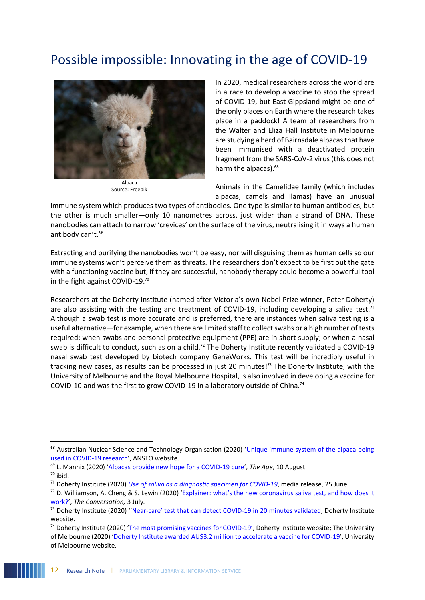# <span id="page-15-0"></span>Possible impossible: Innovating in the age of COVID-19



Alpaca Source: Freepik

In 2020, medical researchers across the world are in a race to develop a vaccine to stop the spread of COVID-19, but East Gippsland might be one of the only places on Earth where the research takes place in a paddock! A team of researchers from the Walter and Eliza Hall Institute in Melbourne are studying a herd of Bairnsdale alpacas that have been immunised with a deactivated protein fragment from the SARS-CoV-2 virus (this does not harm the alpacas).<sup>68</sup>

Animals in the Camelidae family (which includes alpacas, camels and llamas) have an unusual

immune system which produces two types of antibodies. One type is similar to human antibodies, but the other is much smaller—only 10 nanometres across, just wider than a strand of DNA. These nanobodies can attach to narrow 'crevices' on the surface of the virus, neutralising it in ways a human antibody can't.<sup>69</sup>

Extracting and purifying the nanobodies won't be easy, nor will disguising them as human cells so our immune systems won't perceive them as threats. The researchers don't expect to be first out the gate with a functioning vaccine but, if they are successful, nanobody therapy could become a powerful tool in the fight against COVID-19.<sup>70</sup>

Researchers at the Doherty Institute (named after Victoria's own Nobel Prize winner, Peter Doherty) are also assisting with the testing and treatment of COVID-19, including developing a saliva test.<sup>71</sup> Although a swab test is more accurate and is preferred, there are instances when saliva testing is a useful alternative—for example, when there are limited staff to collect swabs or a high number of tests required; when swabs and personal protective equipment (PPE) are in short supply; or when a nasal swab is difficult to conduct, such as on a child.<sup>72</sup> The Doherty Institute recently validated a COVID-19 nasal swab test developed by biotech company GeneWorks. This test will be incredibly useful in tracking new cases, as results can be processed in just 20 minutes!<sup>73</sup> The Doherty Institute, with the University of Melbourne and the Royal Melbourne Hospital, is also involved in developing a vaccine for COVID-10 and was the first to grow COVID-19 in a laboratory outside of China.<sup>74</sup>

<sup>&</sup>lt;sup>68</sup> Australian Nuclear Science and Technology Organisation (2020) 'Unique immune system of the alpaca being [used in COVID-19 research](https://www.ansto.gov.au/news/unique-immune-system-of-alpaca-being-used-covid-19-research)', ANSTO website.

<sup>69</sup> L. Mannix (2020) '[Alpacas provide new hope for a COVID-19 cure](https://www.theage.com.au/national/alpacas-provide-new-hope-for-a-covid-19-cure-20200810-p55kcp.html)', *The Age*, 10 August.

 $70$  ibid.

<sup>71</sup> Doherty Institute (2020) *[Use of saliva as a diagnostic specimen for COVID-19](https://www.doherty.edu.au/news-events/news/use-of-saliva-as-a-diagnostic-specimen-for-covid-19)*, media release, 25 June.

 $<sup>72</sup>$  D. Williamson, A. Cheng & S. Lewin (2020) ['Explainer: what's the new corona](https://theconversation.com/explainer-whats-the-new-coronavirus-saliva-test-and-how-does-it-work-141877)virus saliva test, and how does it</sup> [work?](https://theconversation.com/explainer-whats-the-new-coronavirus-saliva-test-and-how-does-it-work-141877)', *The Conversation,* 3 July*.*

<sup>&</sup>lt;sup>73</sup> Doherty Institute (2020) "Near-[care' test that can detect C](https://www.doherty.edu.au/news-events/news/near-care-test-that-can-detect-covid-19-in-20-minutes-validated)OVID-19 in 20 minutes validated, Doherty Institute website.

<sup>&</sup>lt;sup>74</sup> Doherty Institute (2020) '[The most promising vaccines for COVID-](https://www.doherty.edu.au/news-events/news/the-most-promising-vaccines-for-covid-19)19', Doherty Institute website; The University of Melbourne (2020) '[Doherty Institute awarded AU\\$3.2 million to accelerate a vaccine for COVID-19](https://about.unimelb.edu.au/newsroom/news/2020/march/doherty-institute-awarded-au$3.2-million-to-accelerate-a-vaccine-for-covid-19)', University of Melbourne website.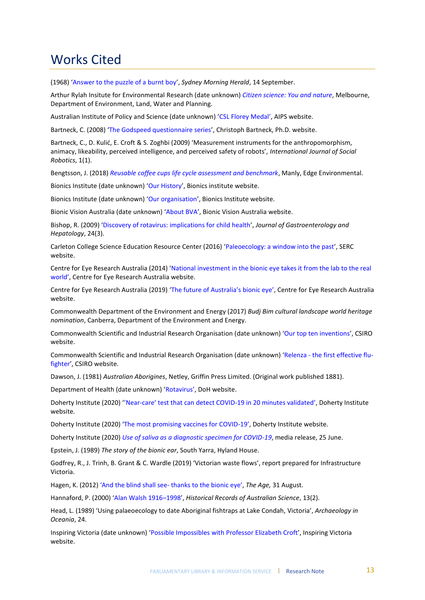### <span id="page-16-0"></span>Works Cited

(1968) '[Answer to the puzzle of a burnt boy](https://smharchives.smedia.com.au/Olive/APA/smharchive/SharedView.Article.aspx?href=SMH%2F1968%2F09%2F14&id=Ar00602&sk=9F6D26DB)', *Sydney Morning Herald*, 14 September.

Arthur Rylah Insitute for Environmental Research (date unknown) *[Citizen science: You and nature](https://parliamentofvictoria-my.sharepoint.com/personal/annie_wright_parliament_vic_gov_au/Documents/Research%20papers/Community%20Engagement/Arthur%20Rylah%20Insitute%20for%20Environmental%20Research%20(date%20unknown)%20‘Citizen%20science:%20You%20and%20nature’,%20Department%20of%20Environment,%20Land,%20Water%20and%20Planning.)*, Melbourne, Department of Environment, Land, Water and Planning.

Australian Institute of Policy and Science (date unknown) ['CSL Florey Medal'](https://aips.net.au/florey-award/the-florey-medal/), AIPS website.

Bartneck, C. (2008) '[The Godspeed questionnaire series](http://www.bartneck.de/2008/03/11/the-godspeed-questionnaire-series/)', Christoph Bartneck, Ph.D. website.

Bartneck, C., D. Kulić, E. Croft & S. Zoghbi (2009) 'Measurement instruments for the anthropomorphism, animacy, likeability, perceived intelligence, and perceived safety of robots', *International Journal of Social Robotics*, 1(1).

Bengtsson, J. (2018) *[Reusable coffee cups life cycle assessment and benchmark](https://au.keepcup.com/media/KeepCup%20LCA%20Report.pdf)*, Manly, Edge Environmental.

Bionics Institute (date unknown) '[Our History](https://www.bionicsinstitute.org/our-history/)', Bionics institute website.

Bionics Institute (date unknown) '[Our organisation](https://www.bionicsinstitute.org/our-organisation/)', Bionics Institute website.

Bionic Vision Australia (date unknown) '[About BV](https://bionicvision.org.au/)A', Bionic Vision Australia website.

Bishop, R. (2009) '[Discovery of rotavirus: implications for child health](https://onlinelibrary.wiley.com/doi/epdf/10.1111/j.1440-1746.2009.06076.x)', *Journal of Gastroenterology and Hepatology*, 24(3).

Carleton College Science Education Resource Center (2016) '[Paleoecology: a window into the past](https://serc.carleton.edu/NZFires/predict_future.html)', SERC website.

Centre for Eye Research Australia (2014) '[National investment in the bionic eye takes it from the lab to the real](https://www.cera.org.au/2014/10/national-investment-in-the-bionic-eye-takes-it-from-the-lab-to-the-real-world/)  [world'](https://www.cera.org.au/2014/10/national-investment-in-the-bionic-eye-takes-it-from-the-lab-to-the-real-world/), Centre for Eye Research Australia website.

Centre for Eye Research Australia (2019) ['The future of Australia's bionic eye'](https://www.cera.org.au/2019/10/the-future-of-australias-bionic-eye/), Centre for Eye Research Australia website.

Commonwealth Department of the Environment and Energy (2017) *Budj Bim cultural landscape world heritage nomination*, Canberra, Department of the Environment and Energy.

Commonwealth Scientific and Industrial Research Organisation (date unknown) '[Our top ten inventions](https://www.csiro.au/en/About/History-achievements/Top-10-inventions)', CSIRO website.

Commonwealth Scientific and Industrial Research Organisation (date unknown) 'Relenza - [the first effective flu](https://www.csiro.au/en/Research/MF/Areas/Biomedical/Drug-discovery/relenza)[fighter](https://www.csiro.au/en/Research/MF/Areas/Biomedical/Drug-discovery/relenza)', CSIRO website.

Dawson, J. (1981) *Australian Aborigines*, Netley, Griffin Press Limited. (Original work published 1881).

Department of Health (date unknown) ['Rotavirus'](https://www.health.gov.au/health-topics/rotavirus), DoH website.

Doherty Institute (2020) ''Near-[care' test that can detect COVID](https://www.doherty.edu.au/news-events/news/near-care-test-that-can-detect-covid-19-in-20-minutes-validated)-19 in 20 minutes validated', Doherty Institute website*.* 

Doherty Institute (2020) '[The most promising vaccines for COVID-](https://www.doherty.edu.au/news-events/news/the-most-promising-vaccines-for-covid-19)19', Doherty Institute website.

Doherty Institute (2020) *[Use of saliva as a diagnostic specimen for COVID-19](https://www.doherty.edu.au/news-events/news/use-of-saliva-as-a-diagnostic-specimen-for-covid-19)*, media release, 25 June.

Epstein, J. (1989) *The story of the bionic ear*, South Yarra, Hyland House.

Godfrey, R., J. Trinh, B. Grant & C. Wardle (2019) 'Victorian waste flows', report prepared for Infrastructure Victoria.

Hagen, K. (2012) ['And the blind shall see](https://www.theage.com.au/national/victoria/and-the-blind-shall-see-thanks-to-the-bionic-eye-20120830-253fz.html)- thanks to the bionic eye', *The Age,* 31 August.

Hannaford, P. (2000) '[Alan Walsh 1916](https://www.science.org.au/fellowship/fellows/biographical-memoirs/alan-walsh-1916-1998)–1998', *Historical Records of Australian Science*, 13(2).

Head, L. (1989) 'Using palaeoecology to date Aboriginal fishtraps at Lake Condah, Victoria', *Archaeology in Oceania*, 24.

Inspiring Victoria (date unknown) '[Possible Impossibles with Professor](https://inspiringvictoria.org.au/possible-impossibles-experts/elizabeth-croft/) Elizabeth Croft', Inspiring Victoria website.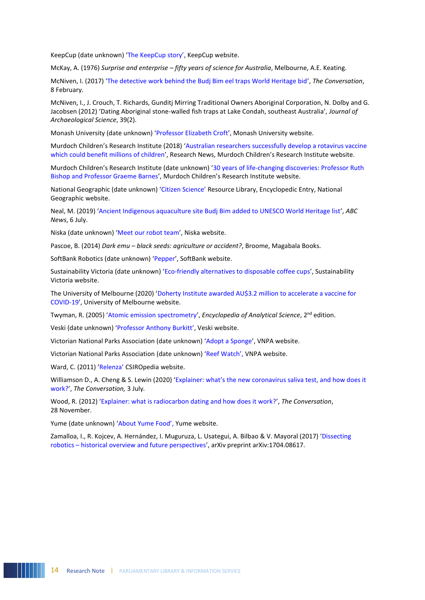KeepCup (date unknown) ['The KeepCup story'](https://au.keepcup.com/the-keepcup-story), KeepCup website.

McKay, A. (1976) *Surprise and enterprise – fifty years of science for Australia*, Melbourne, A.E. Keating.

McNiven, I. (2017) '[The detective work behind the Budj Bim eel traps World Heritage bid](https://theconversation.com/the-detective-work-behind-the-budj-bim-eel-traps-world-heritage-bid-71800)', *The Conversation*, 8 February.

McNiven, I., J. Crouch, T. Richards, Gunditj Mirring Traditional Owners Aboriginal Corporation, N. Dolby and G. Jacobsen (2012) 'Dating Aboriginal stone-walled fish traps at Lake Condah, southeast Australia', *Journal of Archaeological Science*, 39(2).

Monash University (date unknown) '[Professor Elizabeth Croft](https://www.monash.edu/engineering/elizabethcroft#about)', Monash University website.

Murdoch Children's Research Institute (2018) '[Australian researchers successfully develop a rotavirus vaccine](https://www.mcri.edu.au/news/australian-researchers-successfully-develop-rotavirus-vaccine-which-could-benefit-millions#:~:text=Australian%20researchers%20successfully%20develop%20a%20rotavirus%20vaccine%20which%20could%20benefit%20millions%20of%20children,-Research%20News&text=Researchers%20from%20the%20Murdoch%20Children)  [which could benefit millions of children](https://www.mcri.edu.au/news/australian-researchers-successfully-develop-rotavirus-vaccine-which-could-benefit-millions#:~:text=Australian%20researchers%20successfully%20develop%20a%20rotavirus%20vaccine%20which%20could%20benefit%20millions%20of%20children,-Research%20News&text=Researchers%20from%20the%20Murdoch%20Children)', Research News, Murdoch Children's Research Institute website.

Murdoch Children's Research Institute (date unknown) '[30 years of life-changing discoveries: Professor Ruth](https://www.mcri.edu.au/about/anniversary/story/professor-ruth-bishop-and-professor-graeme-barnes)  [Bishop and Professor Graeme Barnes](https://www.mcri.edu.au/about/anniversary/story/professor-ruth-bishop-and-professor-graeme-barnes)', Murdoch Children's Research Institute website.

National Geographic (date unknown) ['Citizen Science'](https://www.nationalgeographic.org/encyclopedia/citizen-science/) Resource Library, Encyclopedic Entry, National Geographic website.

Neal, M. (2019) '[Ancient Indigenous aquaculture site Budj Bim added to UNESCO World Heritage list](https://www.abc.net.au/news/2019-07-06/indigenous-site-joins-pyramids-stonehenge-world-heritage-list/11271804)', *ABC News*, 6 July.

Niska (date unknown) '[Meet our robot team](https://niska.com.au/pages/meet-pepper)', Niska website.

Pascoe, B. (2014) *Dark emu – black seeds: agriculture or accident?*, Broome, Magabala Books.

SoftBank Robotics (date unknown) '[Pepper](https://www.softbankrobotics.com/emea/en/pepper)', SoftBank website.

Sustainability Victoria (date unknown) '[Eco-friendly alternatives to disposable coffee cups](https://www.sustainability.vic.gov.au/You-and-your-home/Live-sustainably/Single-use-items/Coffee-cups)', Sustainability Victoria website.

The University of Melbourne (2020) '[Doherty Institute awarded AU\\$3.2 million to accelerate a vaccine for](https://about.unimelb.edu.au/newsroom/news/2020/march/doherty-institute-awarded-au$3.2-million-to-accelerate-a-vaccine-for-covid-19#:~:text=The%20Peter%20Doherty%20Institute%20for,coronavirus%20(COVID%2D19).)  [COVID-19](https://about.unimelb.edu.au/newsroom/news/2020/march/doherty-institute-awarded-au$3.2-million-to-accelerate-a-vaccine-for-covid-19#:~:text=The%20Peter%20Doherty%20Institute%20for,coronavirus%20(COVID%2D19).)', University of Melbourne website.

Twyman, R. (2005) '[Atomic emission spectrometry](https://www.sciencedirect.com/topics/medicine-and-dentistry/flame-photometry)', *Encyclopedia of Analytical Science*, 2nd edition.

Veski (date unknown) ['Professor Anthony Burkitt'](https://www.veski.org.au/2019_Victoria_Prize/Professor_Anthony_Burkitt), Veski website.

Victorian National Parks Association (date unknown) '[Adopt a Sponge](http://vnpa.org.au/programs/adopt-a-sponge/)', VNPA website.

Victorian National Parks Association (date unknown) 'Reef [Watch'](https://vnpa.org.au/programs/reefwatch/), VNPA website.

Ward, C. (2011) ['Relenza'](https://csiropedia.csiro.au/relenza/) CSIROpedia website.

Williamson D., A. Cheng & S. Lewin (2020) ['Explainer: what's the new coronavirus saliva test, and how does it](https://theconversation.com/explainer-whats-the-new-coronavirus-saliva-test-and-how-does-it-work-141877)  [work?](https://theconversation.com/explainer-whats-the-new-coronavirus-saliva-test-and-how-does-it-work-141877)', *The Conversation,* 3 July*.*

Wood, R. (2012) '[Explainer: what is radiocarbon dating and how does it work?](https://theconversation.com/explainer-what-is-radiocarbon-dating-and-how-does-it-work-9690)', *The Conversation*, 28 November.

Yume (date unknown) ['About Yume Food'](https://yumefood.com.au/about), Yume website.

Zamalloa, I., R. Kojcev, A. Hernández, I. Muguruza, L. Usategui, A. Bilbao & V. Mayoral (2017) '[Dissecting](https://arxiv.org/abs/1704.08617)  robotics – [historical overview and future perspectives](https://arxiv.org/abs/1704.08617)', arXiv preprint arXiv:1704.08617.